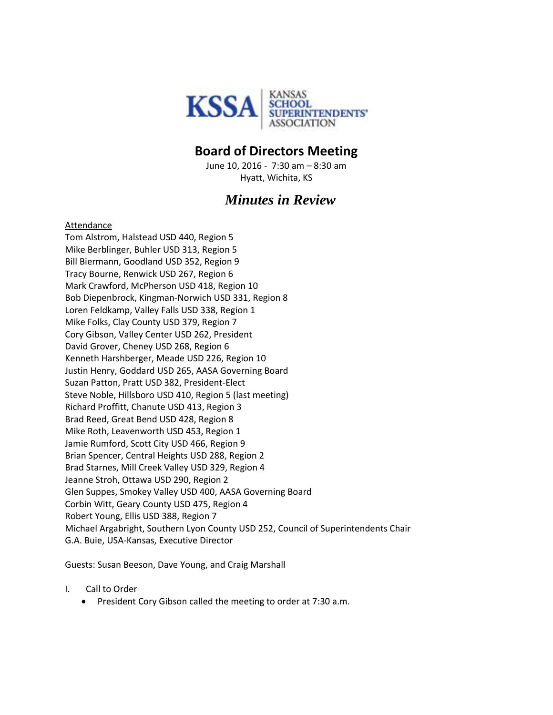

## **Board of Directors Meeting**

June 10, 2016 - 7:30 am – 8:30 am Hyatt, Wichita, KS

## *Minutes in Review*

## Attendance

Tom Alstrom, Halstead USD 440, Region 5 Mike Berblinger, Buhler USD 313, Region 5 Bill Biermann, Goodland USD 352, Region 9 Tracy Bourne, Renwick USD 267, Region 6 Mark Crawford, McPherson USD 418, Region 10 Bob Diepenbrock, Kingman-Norwich USD 331, Region 8 Loren Feldkamp, Valley Falls USD 338, Region 1 Mike Folks, Clay County USD 379, Region 7 Cory Gibson, Valley Center USD 262, President David Grover, Cheney USD 268, Region 6 Kenneth Harshberger, Meade USD 226, Region 10 Justin Henry, Goddard USD 265, AASA Governing Board Suzan Patton, Pratt USD 382, President-Elect Steve Noble, Hillsboro USD 410, Region 5 (last meeting) Richard Proffitt, Chanute USD 413, Region 3 Brad Reed, Great Bend USD 428, Region 8 Mike Roth, Leavenworth USD 453, Region 1 Jamie Rumford, Scott City USD 466, Region 9 Brian Spencer, Central Heights USD 288, Region 2 Brad Starnes, Mill Creek Valley USD 329, Region 4 Jeanne Stroh, Ottawa USD 290, Region 2 Glen Suppes, Smokey Valley USD 400, AASA Governing Board Corbin Witt, Geary County USD 475, Region 4 Robert Young, Ellis USD 388, Region 7 Michael Argabright, Southern Lyon County USD 252, Council of Superintendents Chair G.A. Buie, USA-Kansas, Executive Director

Guests: Susan Beeson, Dave Young, and Craig Marshall

- I. Call to Order
	- **•** President Cory Gibson called the meeting to order at 7:30 a.m.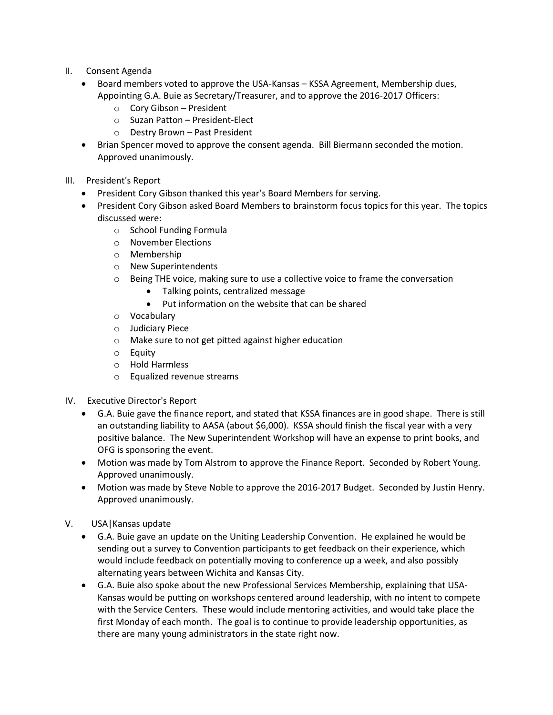- II. Consent Agenda
	- Board members voted to approve the USA-Kansas KSSA Agreement, Membership dues, Appointing G.A. Buie as Secretary/Treasurer, and to approve the 2016-2017 Officers:
		- o Cory Gibson President
		- o Suzan Patton President-Elect
		- o Destry Brown Past President
	- Brian Spencer moved to approve the consent agenda. Bill Biermann seconded the motion. Approved unanimously.
- III. President's Report
	- President Cory Gibson thanked this year's Board Members for serving.
	- President Cory Gibson asked Board Members to brainstorm focus topics for this year. The topics discussed were:
		- o School Funding Formula
		- o November Elections
		- o Membership
		- o New Superintendents
		- $\circ$  Being THE voice, making sure to use a collective voice to frame the conversation
			- Talking points, centralized message
			- Put information on the website that can be shared
		- o Vocabulary
		- o Judiciary Piece
		- o Make sure to not get pitted against higher education
		- o Equity
		- o Hold Harmless
		- o Equalized revenue streams
- IV. Executive Director's Report
	- G.A. Buie gave the finance report, and stated that KSSA finances are in good shape. There is still an outstanding liability to AASA (about \$6,000). KSSA should finish the fiscal year with a very positive balance. The New Superintendent Workshop will have an expense to print books, and OFG is sponsoring the event.
	- Motion was made by Tom Alstrom to approve the Finance Report. Seconded by Robert Young. Approved unanimously.
	- Motion was made by Steve Noble to approve the 2016-2017 Budget. Seconded by Justin Henry. Approved unanimously.
- V. USA|Kansas update
	- G.A. Buie gave an update on the Uniting Leadership Convention. He explained he would be sending out a survey to Convention participants to get feedback on their experience, which would include feedback on potentially moving to conference up a week, and also possibly alternating years between Wichita and Kansas City.
	- G.A. Buie also spoke about the new Professional Services Membership, explaining that USA-Kansas would be putting on workshops centered around leadership, with no intent to compete with the Service Centers. These would include mentoring activities, and would take place the first Monday of each month. The goal is to continue to provide leadership opportunities, as there are many young administrators in the state right now.